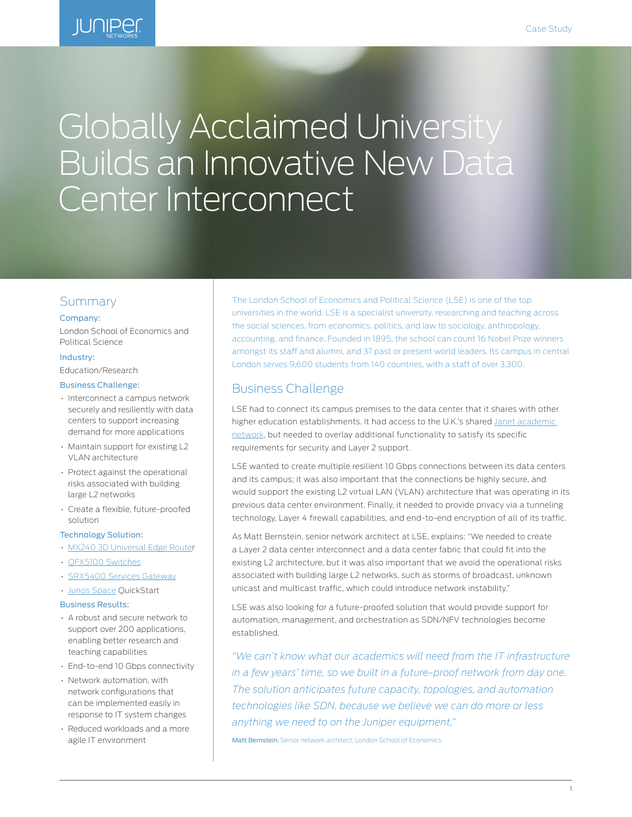

# Globally Acclaimed University Builds an Innovative New Data Center Interconnect

# Summary

#### Company:

London School of Economics and Political Science

## Industry:

Education/Research

#### Business Challenge:

- Interconnect a campus network securely and resiliently with data centers to support increasing demand for more applications
- Maintain support for existing L2 VLAN architecture
- Protect against the operational risks associated with building large L2 networks
- Create a flexible, future-proofed solution

## Technology Solution:

- [MX240 3D Universal Edge Route](http://www.juniper.net/us/en/products-services/routing/mx-series/mx240)r
- [QFX5100 Switches](http://www.juniper.net/us/en/products-services/switching/qfx-series/)
- [SRX5400 Services Gateway](http://www.juniper.net/us/en/products-services/security/srx-series/srx5400/)
- [Junos Space](http://www.juniper.net/us/en/products-services/network-management/junos-space-applications/) QuickStart

#### Business Results:

- A robust and secure network to support over 200 applications, enabling better research and teaching capabilities
- End-to-end 10 Gbps connectivity
- Network automation, with network configurations that can be implemented easily in response to IT system changes
- Reduced workloads and a more agile IT environment

The London School of Economics and Political Science (LSE) is one of the top universities in the world. LSE is a specialist university, researching and teaching across the social sciences, from economics, politics, and law to sociology, anthropology, accounting, and finance. Founded in 1895, the school can count 16 Nobel Prize winners amongst its staff and alumni, and 37 past or present world leaders. Its campus in central London serves 9,600 students from 140 countries, with a staff of over 3,300.

## Business Challenge

LSE had to connect its campus premises to the data center that it shares with other higher education establishments. It had access to the U.K.'s shared [Janet academic](https://www.jisc.ac.uk/network)  [network,](https://www.jisc.ac.uk/network) but needed to overlay additional functionality to satisfy its specific requirements for security and Layer 2 support.

LSE wanted to create multiple resilient 10 Gbps connections between its data centers and its campus; it was also important that the connections be highly secure, and would support the existing L2 virtual LAN (VLAN) architecture that was operating in its previous data center environment. Finally, it needed to provide privacy via a tunneling technology, Layer 4 firewall capabilities, and end-to-end encryption of all of its traffic.

As Matt Bernstein, senior network architect at LSE, explains: "We needed to create a Layer 2 data center interconnect and a data center fabric that could fit into the existing L2 architecture, but it was also important that we avoid the operational risks associated with building large L2 networks, such as storms of broadcast, unknown unicast and multicast traffic, which could introduce network instability."

LSE was also looking for a future-proofed solution that would provide support for automation, management, and orchestration as SDN/NFV technologies become established.

*"We can't know what our academics will need from the IT infrastructure*  in a few years' time, so we built in a future-proof network from day one. *The solution anticipates future capacity, topologies, and automation technologies like SDN, because we believe we can do more or less anything we need to on the Juniper equipment,"* 

Matt Bernstein, Senior network architect, London School of Economics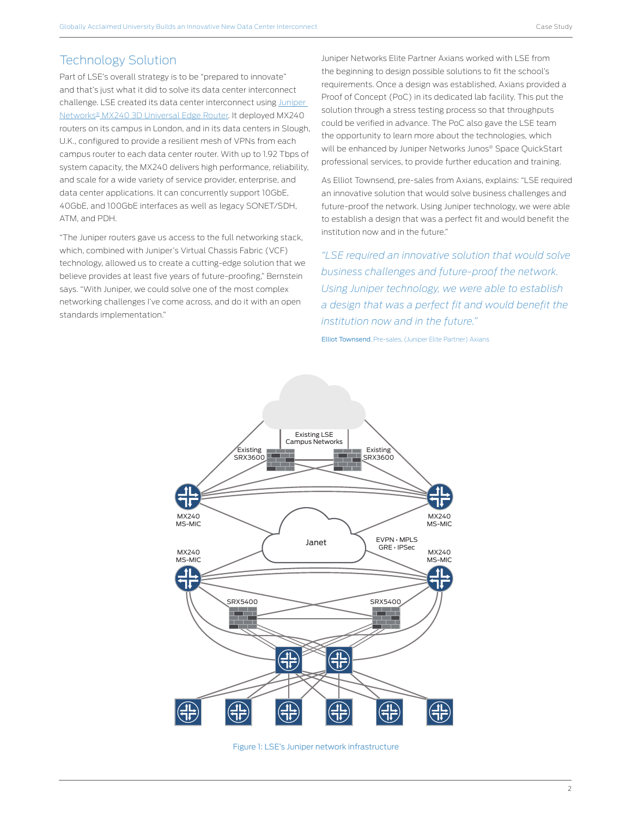# Technology Solution

Part of LSE's overall strategy is to be "prepared to innovate" and that's just what it did to solve its data center interconnect challenge. LSE created its data center interconnect using Juniper [Networks® MX240 3D Universal Edge Router](http://www.juniper.net/us/en/products-services/routing/mx-series/mx240). It deployed MX240 routers on its campus in London, and in its data centers in Slough, U.K., configured to provide a resilient mesh of VPNs from each campus router to each data center router. With up to 1.92 Tbps of system capacity, the MX240 delivers high performance, reliability, and scale for a wide variety of service provider, enterprise, and data center applications. It can concurrently support 10GbE, 40GbE, and 100GbE interfaces as well as legacy SONET/SDH, ATM, and PDH.

"The Juniper routers gave us access to the full networking stack, which, combined with Juniper's Virtual Chassis Fabric (VCF) technology, allowed us to create a cutting-edge solution that we believe provides at least five years of future-proofing," Bernstein says. "With Juniper, we could solve one of the most complex networking challenges I've come across, and do it with an open standards implementation."

Juniper Networks Elite Partner Axians worked with LSE from the beginning to design possible solutions to fit the school's requirements. Once a design was established, Axians provided a Proof of Concept (PoC) in its dedicated lab facility. This put the solution through a stress testing process so that throughputs could be verified in advance. The PoC also gave the LSE team the opportunity to learn more about the technologies, which will be enhanced by Juniper Networks Junos® Space QuickStart professional services, to provide further education and training.

As Elliot Townsend, pre-sales from Axians, explains: "LSE required an innovative solution that would solve business challenges and future-proof the network. Using Juniper technology, we were able to establish a design that was a perfect fit and would benefit the institution now and in the future."

*"LSE required an innovative solution that would solve business challenges and future-proof the network. Using Juniper technology, we were able to establish a design that was a perfect fit and would benefit the institution now and in the future."* 

Elliot Townsend, Pre-sales, (Juniper Elite Partner) Axians



Figure 1: LSE's Juniper network infrastructure